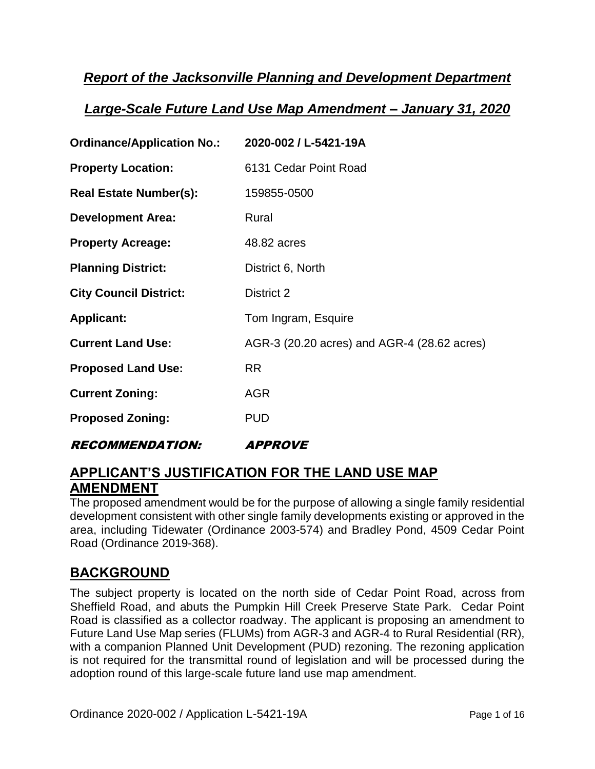### *Report of the Jacksonville Planning and Development Department*

### *Large-Scale Future Land Use Map Amendment – January 31, 2020*

| <b>Ordinance/Application No.:</b> | 2020-002 / L-5421-19A                       |
|-----------------------------------|---------------------------------------------|
| <b>Property Location:</b>         | 6131 Cedar Point Road                       |
| <b>Real Estate Number(s):</b>     | 159855-0500                                 |
| <b>Development Area:</b>          | Rural                                       |
| <b>Property Acreage:</b>          | 48.82 acres                                 |
| <b>Planning District:</b>         | District 6, North                           |
| <b>City Council District:</b>     | District 2                                  |
| <b>Applicant:</b>                 | Tom Ingram, Esquire                         |
| <b>Current Land Use:</b>          | AGR-3 (20.20 acres) and AGR-4 (28.62 acres) |
| <b>Proposed Land Use:</b>         | <b>RR</b>                                   |
| <b>Current Zoning:</b>            | <b>AGR</b>                                  |
| <b>Proposed Zoning:</b>           | <b>PUD</b>                                  |
|                                   |                                             |

RECOMMENDATION: APPROVE

### **APPLICANT'S JUSTIFICATION FOR THE LAND USE MAP AMENDMENT**

The proposed amendment would be for the purpose of allowing a single family residential development consistent with other single family developments existing or approved in the area, including Tidewater (Ordinance 2003-574) and Bradley Pond, 4509 Cedar Point Road (Ordinance 2019-368).

### **BACKGROUND**

The subject property is located on the north side of Cedar Point Road, across from Sheffield Road, and abuts the Pumpkin Hill Creek Preserve State Park. Cedar Point Road is classified as a collector roadway. The applicant is proposing an amendment to Future Land Use Map series (FLUMs) from AGR-3 and AGR-4 to Rural Residential (RR), with a companion Planned Unit Development (PUD) rezoning. The rezoning application is not required for the transmittal round of legislation and will be processed during the adoption round of this large-scale future land use map amendment.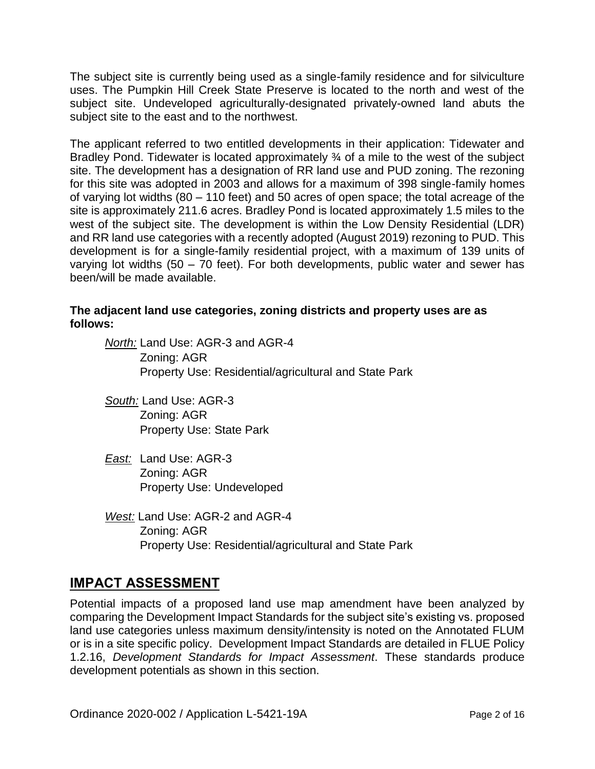The subject site is currently being used as a single-family residence and for silviculture uses. The Pumpkin Hill Creek State Preserve is located to the north and west of the subject site. Undeveloped agriculturally-designated privately-owned land abuts the subject site to the east and to the northwest.

The applicant referred to two entitled developments in their application: Tidewater and Bradley Pond. Tidewater is located approximately 34 of a mile to the west of the subject site. The development has a designation of RR land use and PUD zoning. The rezoning for this site was adopted in 2003 and allows for a maximum of 398 single-family homes of varying lot widths (80 – 110 feet) and 50 acres of open space; the total acreage of the site is approximately 211.6 acres. Bradley Pond is located approximately 1.5 miles to the west of the subject site. The development is within the Low Density Residential (LDR) and RR land use categories with a recently adopted (August 2019) rezoning to PUD. This development is for a single-family residential project, with a maximum of 139 units of varying lot widths (50 – 70 feet). For both developments, public water and sewer has been/will be made available.

#### **The adjacent land use categories, zoning districts and property uses are as follows:**

*North:* Land Use: AGR-3 and AGR-4 Zoning: AGR Property Use: Residential/agricultural and State Park

- *South:* Land Use: AGR-3 Zoning: AGR Property Use: State Park
- *East:* Land Use: AGR-3 Zoning: AGR Property Use: Undeveloped
- *West:* Land Use: AGR-2 and AGR-4 Zoning: AGR Property Use: Residential/agricultural and State Park

### **IMPACT ASSESSMENT**

Potential impacts of a proposed land use map amendment have been analyzed by comparing the Development Impact Standards for the subject site's existing vs. proposed land use categories unless maximum density/intensity is noted on the Annotated FLUM or is in a site specific policy. Development Impact Standards are detailed in FLUE Policy 1.2.16, *Development Standards for Impact Assessment*. These standards produce development potentials as shown in this section.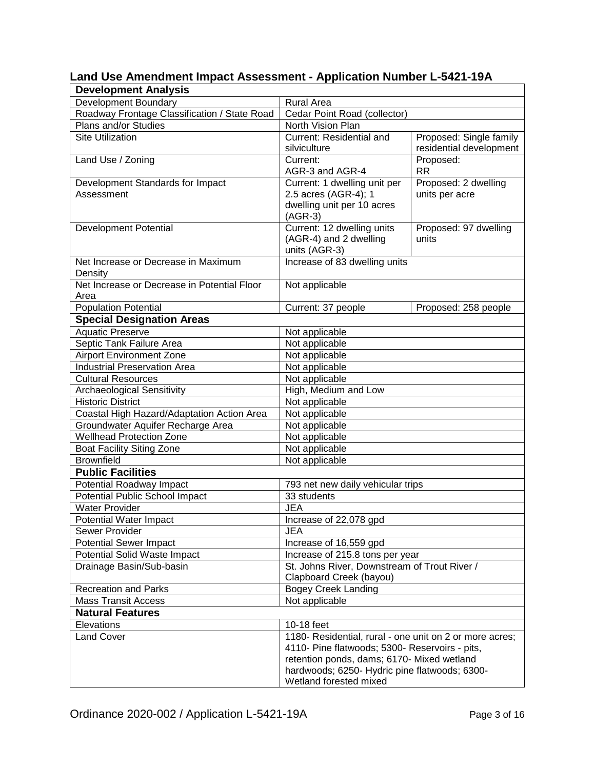| <b>Development Analysis</b>                  |                                                         |                         |  |
|----------------------------------------------|---------------------------------------------------------|-------------------------|--|
| Development Boundary                         | <b>Rural Area</b>                                       |                         |  |
| Roadway Frontage Classification / State Road | Cedar Point Road (collector)                            |                         |  |
| Plans and/or Studies                         | North Vision Plan                                       |                         |  |
| <b>Site Utilization</b>                      | <b>Current: Residential and</b>                         | Proposed: Single family |  |
|                                              | silviculture                                            | residential development |  |
| Land Use / Zoning                            | Current:                                                | Proposed:               |  |
|                                              | AGR-3 and AGR-4                                         | <b>RR</b>               |  |
| Development Standards for Impact             | Current: 1 dwelling unit per                            | Proposed: 2 dwelling    |  |
| Assessment                                   | 2.5 acres (AGR-4); 1                                    | units per acre          |  |
|                                              | dwelling unit per 10 acres                              |                         |  |
|                                              | $(AGR-3)$                                               |                         |  |
| Development Potential                        | Current: 12 dwelling units                              | Proposed: 97 dwelling   |  |
|                                              | (AGR-4) and 2 dwelling                                  | units                   |  |
|                                              | units (AGR-3)                                           |                         |  |
| Net Increase or Decrease in Maximum          | Increase of 83 dwelling units                           |                         |  |
| Density                                      |                                                         |                         |  |
| Net Increase or Decrease in Potential Floor  | Not applicable                                          |                         |  |
| Area                                         |                                                         |                         |  |
| <b>Population Potential</b>                  | Current: 37 people                                      | Proposed: 258 people    |  |
| <b>Special Designation Areas</b>             |                                                         |                         |  |
| <b>Aquatic Preserve</b>                      | Not applicable                                          |                         |  |
| Septic Tank Failure Area                     | Not applicable                                          |                         |  |
| <b>Airport Environment Zone</b>              | Not applicable                                          |                         |  |
| <b>Industrial Preservation Area</b>          | Not applicable                                          |                         |  |
| <b>Cultural Resources</b>                    | Not applicable                                          |                         |  |
| <b>Archaeological Sensitivity</b>            | High, Medium and Low                                    |                         |  |
| <b>Historic District</b>                     | Not applicable                                          |                         |  |
| Coastal High Hazard/Adaptation Action Area   | Not applicable                                          |                         |  |
| Groundwater Aquifer Recharge Area            | Not applicable                                          |                         |  |
| <b>Wellhead Protection Zone</b>              | Not applicable                                          |                         |  |
| <b>Boat Facility Siting Zone</b>             | Not applicable                                          |                         |  |
| <b>Brownfield</b>                            | Not applicable                                          |                         |  |
| <b>Public Facilities</b>                     |                                                         |                         |  |
| Potential Roadway Impact                     | 793 net new daily vehicular trips                       |                         |  |
| Potential Public School Impact               | 33 students                                             |                         |  |
| <b>Water Provider</b>                        | <b>JEA</b>                                              |                         |  |
| Potential Water Impact                       | Increase of 22,078 gpd                                  |                         |  |
| Sewer Provider                               | <b>JEA</b>                                              |                         |  |
| <b>Potential Sewer Impact</b>                | Increase of 16,559 gpd                                  |                         |  |
| <b>Potential Solid Waste Impact</b>          | Increase of 215.8 tons per year                         |                         |  |
| Drainage Basin/Sub-basin                     | St. Johns River, Downstream of Trout River /            |                         |  |
|                                              | Clapboard Creek (bayou)                                 |                         |  |
| <b>Recreation and Parks</b>                  | <b>Bogey Creek Landing</b>                              |                         |  |
| <b>Mass Transit Access</b>                   | Not applicable                                          |                         |  |
| <b>Natural Features</b>                      |                                                         |                         |  |
| Elevations                                   | 10-18 feet                                              |                         |  |
| <b>Land Cover</b>                            | 1180- Residential, rural - one unit on 2 or more acres; |                         |  |
|                                              | 4110- Pine flatwoods; 5300- Reservoirs - pits,          |                         |  |
|                                              | retention ponds, dams; 6170- Mixed wetland              |                         |  |
|                                              | hardwoods; 6250- Hydric pine flatwoods; 6300-           |                         |  |
|                                              | Wetland forested mixed                                  |                         |  |

# **Land Use Amendment Impact Assessment - Application Number L-5421-19A**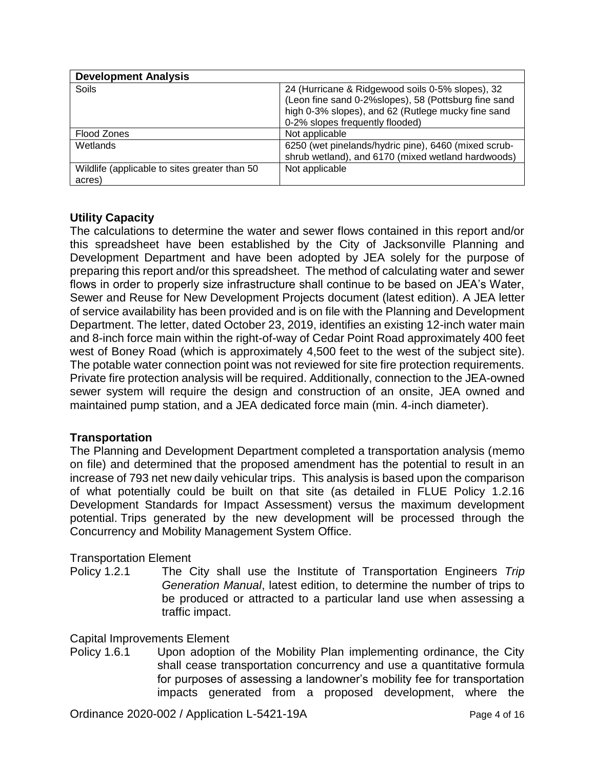| <b>Development Analysis</b>                    |                                                      |
|------------------------------------------------|------------------------------------------------------|
| Soils                                          | 24 (Hurricane & Ridgewood soils 0-5% slopes), 32     |
|                                                | (Leon fine sand 0-2%slopes), 58 (Pottsburg fine sand |
|                                                | high 0-3% slopes), and 62 (Rutlege mucky fine sand   |
|                                                | 0-2% slopes frequently flooded)                      |
| Flood Zones                                    | Not applicable                                       |
| Wetlands                                       | 6250 (wet pinelands/hydric pine), 6460 (mixed scrub- |
|                                                | shrub wetland), and 6170 (mixed wetland hardwoods)   |
| Wildlife (applicable to sites greater than 50) | Not applicable                                       |
| acres)                                         |                                                      |

#### **Utility Capacity**

The calculations to determine the water and sewer flows contained in this report and/or this spreadsheet have been established by the City of Jacksonville Planning and Development Department and have been adopted by JEA solely for the purpose of preparing this report and/or this spreadsheet. The method of calculating water and sewer flows in order to properly size infrastructure shall continue to be based on JEA's Water, Sewer and Reuse for New Development Projects document (latest edition). A JEA letter of service availability has been provided and is on file with the Planning and Development Department. The letter, dated October 23, 2019, identifies an existing 12-inch water main and 8-inch force main within the right-of-way of Cedar Point Road approximately 400 feet west of Boney Road (which is approximately 4,500 feet to the west of the subject site). The potable water connection point was not reviewed for site fire protection requirements. Private fire protection analysis will be required. Additionally, connection to the JEA-owned sewer system will require the design and construction of an onsite, JEA owned and maintained pump station, and a JEA dedicated force main (min. 4-inch diameter).

#### **Transportation**

The Planning and Development Department completed a transportation analysis (memo on file) and determined that the proposed amendment has the potential to result in an increase of 793 net new daily vehicular trips. This analysis is based upon the comparison of what potentially could be built on that site (as detailed in FLUE Policy 1.2.16 Development Standards for Impact Assessment) versus the maximum development potential. Trips generated by the new development will be processed through the Concurrency and Mobility Management System Office.

#### Transportation Element

Policy 1.2.1 The City shall use the Institute of Transportation Engineers *Trip Generation Manual*, latest edition, to determine the number of trips to be produced or attracted to a particular land use when assessing a traffic impact.

#### Capital Improvements Element

Policy 1.6.1 Upon adoption of the Mobility Plan implementing ordinance, the City shall cease transportation concurrency and use a quantitative formula for purposes of assessing a landowner's mobility fee for transportation impacts generated from a proposed development, where the

Ordinance 2020-002 / Application L-5421-19A Page 4 of 16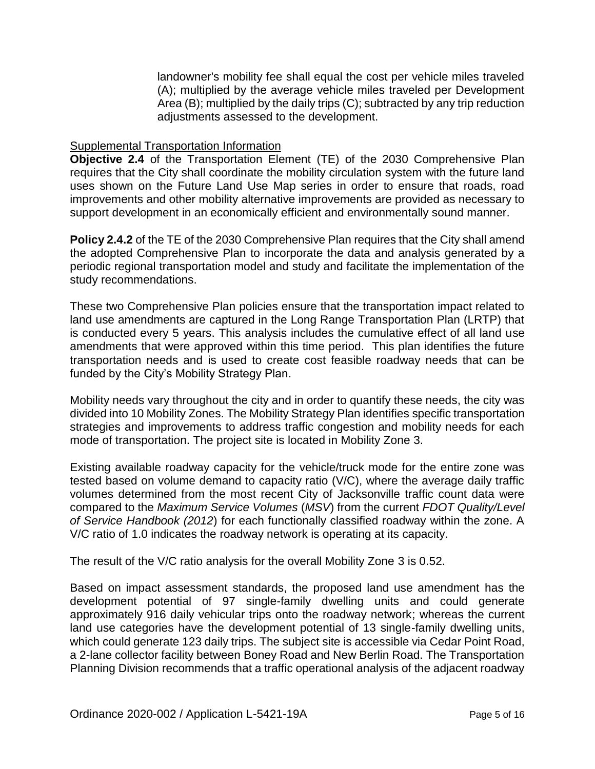landowner's mobility fee shall equal the cost per vehicle miles traveled (A); multiplied by the average vehicle miles traveled per Development Area (B); multiplied by the daily trips (C); subtracted by any trip reduction adjustments assessed to the development.

#### Supplemental Transportation Information

**Objective 2.4** of the Transportation Element (TE) of the 2030 Comprehensive Plan requires that the City shall coordinate the mobility circulation system with the future land uses shown on the Future Land Use Map series in order to ensure that roads, road improvements and other mobility alternative improvements are provided as necessary to support development in an economically efficient and environmentally sound manner.

**Policy 2.4.2** of the TE of the 2030 Comprehensive Plan requires that the City shall amend the adopted Comprehensive Plan to incorporate the data and analysis generated by a periodic regional transportation model and study and facilitate the implementation of the study recommendations.

These two Comprehensive Plan policies ensure that the transportation impact related to land use amendments are captured in the Long Range Transportation Plan (LRTP) that is conducted every 5 years. This analysis includes the cumulative effect of all land use amendments that were approved within this time period. This plan identifies the future transportation needs and is used to create cost feasible roadway needs that can be funded by the City's Mobility Strategy Plan.

Mobility needs vary throughout the city and in order to quantify these needs, the city was divided into 10 Mobility Zones. The Mobility Strategy Plan identifies specific transportation strategies and improvements to address traffic congestion and mobility needs for each mode of transportation. The project site is located in Mobility Zone 3.

Existing available roadway capacity for the vehicle/truck mode for the entire zone was tested based on volume demand to capacity ratio (V/C), where the average daily traffic volumes determined from the most recent City of Jacksonville traffic count data were compared to the *Maximum Service Volumes* (*MSV*) from the current *FDOT Quality/Level of Service Handbook (2012*) for each functionally classified roadway within the zone. A V/C ratio of 1.0 indicates the roadway network is operating at its capacity.

The result of the V/C ratio analysis for the overall Mobility Zone 3 is 0.52.

Based on impact assessment standards, the proposed land use amendment has the development potential of 97 single-family dwelling units and could generate approximately 916 daily vehicular trips onto the roadway network; whereas the current land use categories have the development potential of 13 single-family dwelling units, which could generate 123 daily trips. The subject site is accessible via Cedar Point Road, a 2-lane collector facility between Boney Road and New Berlin Road. The Transportation Planning Division recommends that a traffic operational analysis of the adjacent roadway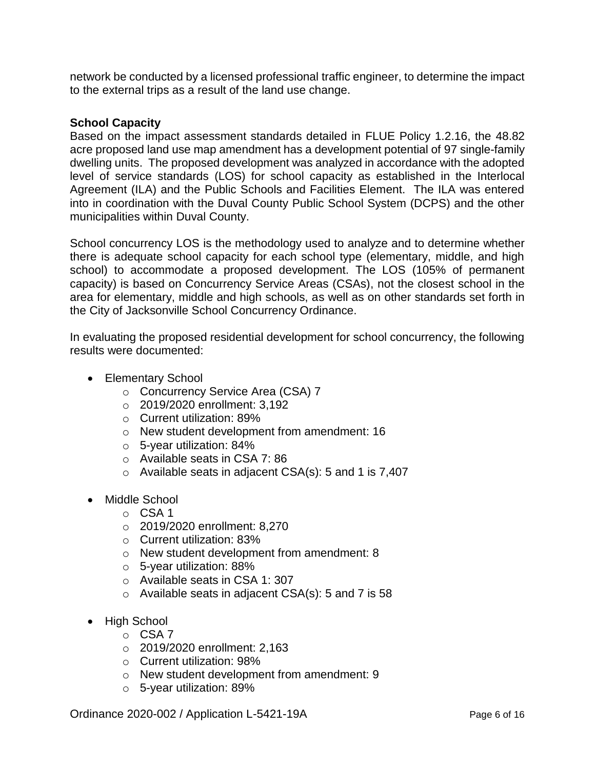network be conducted by a licensed professional traffic engineer, to determine the impact to the external trips as a result of the land use change.

#### **School Capacity**

Based on the impact assessment standards detailed in FLUE Policy 1.2.16, the 48.82 acre proposed land use map amendment has a development potential of 97 single-family dwelling units. The proposed development was analyzed in accordance with the adopted level of service standards (LOS) for school capacity as established in the Interlocal Agreement (ILA) and the Public Schools and Facilities Element. The ILA was entered into in coordination with the Duval County Public School System (DCPS) and the other municipalities within Duval County.

School concurrency LOS is the methodology used to analyze and to determine whether there is adequate school capacity for each school type (elementary, middle, and high school) to accommodate a proposed development. The LOS (105% of permanent capacity) is based on Concurrency Service Areas (CSAs), not the closest school in the area for elementary, middle and high schools, as well as on other standards set forth in the City of Jacksonville School Concurrency Ordinance.

In evaluating the proposed residential development for school concurrency, the following results were documented:

- Elementary School
	- o Concurrency Service Area (CSA) 7
	- o 2019/2020 enrollment: 3,192
	- o Current utilization: 89%
	- o New student development from amendment: 16
	- o 5-year utilization: 84%
	- o Available seats in CSA 7: 86
	- $\circ$  Available seats in adjacent CSA(s): 5 and 1 is 7,407
- Middle School
	- o CSA 1
	- o 2019/2020 enrollment: 8,270
	- o Current utilization: 83%
	- o New student development from amendment: 8
	- o 5-year utilization: 88%
	- o Available seats in CSA 1: 307
	- o Available seats in adjacent CSA(s): 5 and 7 is 58
- High School
	- o CSA 7
	- o 2019/2020 enrollment: 2,163
	- o Current utilization: 98%
	- o New student development from amendment: 9
	- o 5-year utilization: 89%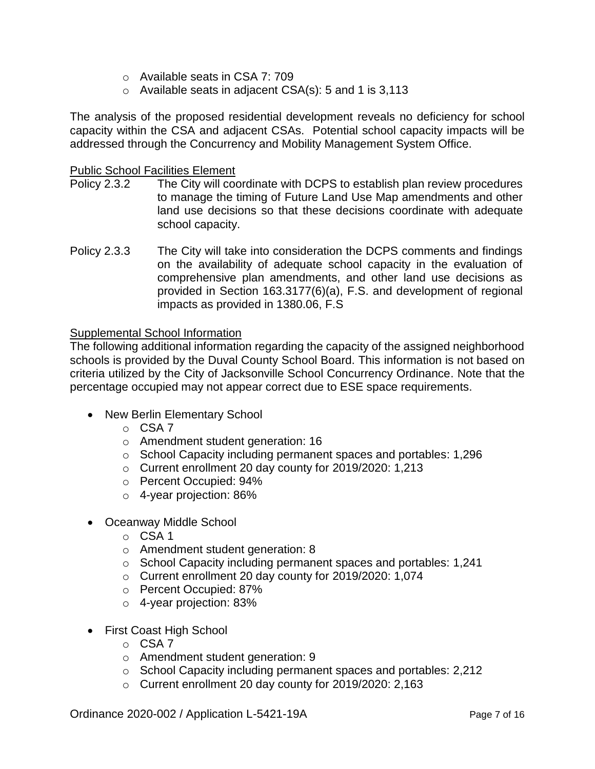- o Available seats in CSA 7: 709
- $\circ$  Available seats in adjacent CSA(s): 5 and 1 is 3,113

The analysis of the proposed residential development reveals no deficiency for school capacity within the CSA and adjacent CSAs. Potential school capacity impacts will be addressed through the Concurrency and Mobility Management System Office.

#### Public School Facilities Element

- Policy 2.3.2 The City will coordinate with DCPS to establish plan review procedures to manage the timing of Future Land Use Map amendments and other land use decisions so that these decisions coordinate with adequate school capacity.
- Policy 2.3.3 The City will take into consideration the DCPS comments and findings on the availability of adequate school capacity in the evaluation of comprehensive plan amendments, and other land use decisions as provided in Section 163.3177(6)(a), F.S. and development of regional impacts as provided in 1380.06, F.S

#### Supplemental School Information

The following additional information regarding the capacity of the assigned neighborhood schools is provided by the Duval County School Board. This information is not based on criteria utilized by the City of Jacksonville School Concurrency Ordinance. Note that the percentage occupied may not appear correct due to ESE space requirements.

- New Berlin Elementary School
	- o CSA 7
	- o Amendment student generation: 16
	- o School Capacity including permanent spaces and portables: 1,296
	- o Current enrollment 20 day county for 2019/2020: 1,213
	- o Percent Occupied: 94%
	- o 4-year projection: 86%
- Oceanway Middle School
	- $O$  CSA 1
	- o Amendment student generation: 8
	- o School Capacity including permanent spaces and portables: 1,241
	- o Current enrollment 20 day county for 2019/2020: 1,074
	- o Percent Occupied: 87%
	- o 4-year projection: 83%
- First Coast High School
	- o CSA 7
	- o Amendment student generation: 9
	- o School Capacity including permanent spaces and portables: 2,212
	- o Current enrollment 20 day county for 2019/2020: 2,163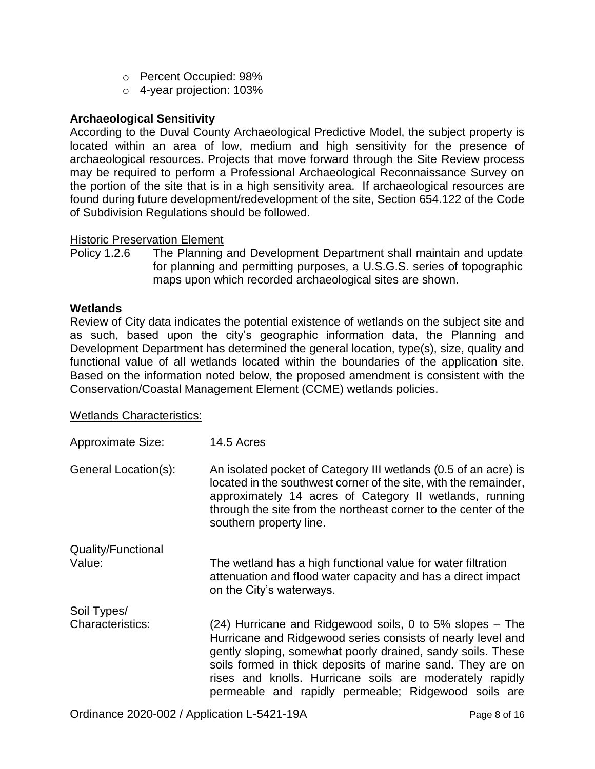- o Percent Occupied: 98%
- o 4-year projection: 103%

#### **Archaeological Sensitivity**

According to the Duval County Archaeological Predictive Model, the subject property is located within an area of low, medium and high sensitivity for the presence of archaeological resources. Projects that move forward through the Site Review process may be required to perform a Professional Archaeological Reconnaissance Survey on the portion of the site that is in a high sensitivity area. If archaeological resources are found during future development/redevelopment of the site, Section 654.122 of the Code of Subdivision Regulations should be followed.

#### Historic Preservation Element

Policy 1.2.6 The Planning and Development Department shall maintain and update for planning and permitting purposes, a U.S.G.S. series of topographic maps upon which recorded archaeological sites are shown.

#### **Wetlands**

Review of City data indicates the potential existence of wetlands on the subject site and as such, based upon the city's geographic information data, the Planning and Development Department has determined the general location, type(s), size, quality and functional value of all wetlands located within the boundaries of the application site. Based on the information noted below, the proposed amendment is consistent with the Conservation/Coastal Management Element (CCME) wetlands policies.

#### Wetlands Characteristics:

| <b>Approximate Size:</b>               | 14.5 Acres                                                                                                                                                                                                                                                                                                   |
|----------------------------------------|--------------------------------------------------------------------------------------------------------------------------------------------------------------------------------------------------------------------------------------------------------------------------------------------------------------|
| General Location(s):                   | An isolated pocket of Category III wetlands (0.5 of an acre) is<br>located in the southwest corner of the site, with the remainder,<br>approximately 14 acres of Category II wetlands, running<br>through the site from the northeast corner to the center of the<br>southern property line.                 |
| Quality/Functional<br>Value:           | The wetland has a high functional value for water filtration<br>attenuation and flood water capacity and has a direct impact<br>on the City's waterways.                                                                                                                                                     |
| Soil Types/<br><b>Characteristics:</b> | (24) Hurricane and Ridgewood soils, 0 to 5% slopes – The                                                                                                                                                                                                                                                     |
|                                        | Hurricane and Ridgewood series consists of nearly level and<br>gently sloping, somewhat poorly drained, sandy soils. These<br>soils formed in thick deposits of marine sand. They are on<br>rises and knolls. Hurricane soils are moderately rapidly<br>permeable and rapidly permeable; Ridgewood soils are |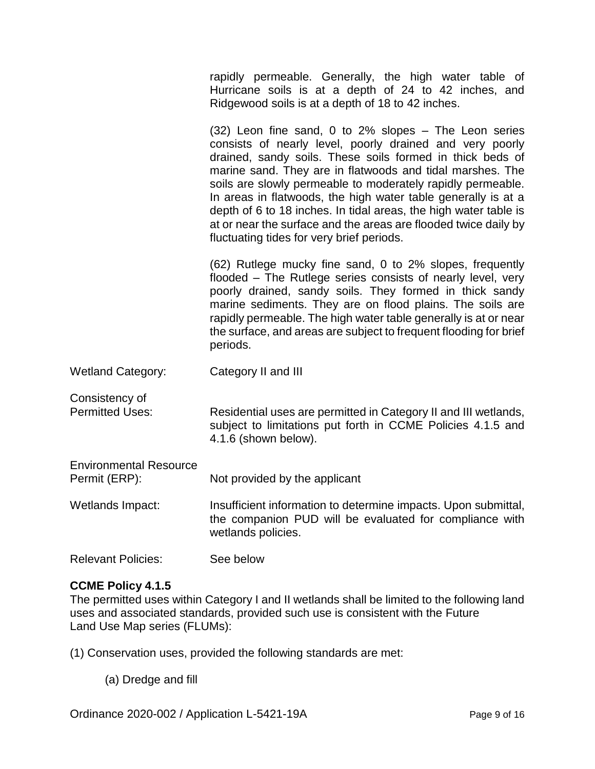rapidly permeable. Generally, the high water table of Hurricane soils is at a depth of 24 to 42 inches, and Ridgewood soils is at a depth of 18 to 42 inches.

(32) Leon fine sand, 0 to 2% slopes – The Leon series consists of nearly level, poorly drained and very poorly drained, sandy soils. These soils formed in thick beds of marine sand. They are in flatwoods and tidal marshes. The soils are slowly permeable to moderately rapidly permeable. In areas in flatwoods, the high water table generally is at a depth of 6 to 18 inches. In tidal areas, the high water table is at or near the surface and the areas are flooded twice daily by fluctuating tides for very brief periods.

(62) Rutlege mucky fine sand, 0 to 2% slopes, frequently flooded – The Rutlege series consists of nearly level, very poorly drained, sandy soils. They formed in thick sandy marine sediments. They are on flood plains. The soils are rapidly permeable. The high water table generally is at or near the surface, and areas are subject to frequent flooding for brief periods.

Wetland Category: Category II and III

Consistency of

Permitted Uses: Residential uses are permitted in Category II and III wetlands, subject to limitations put forth in CCME Policies 4.1.5 and 4.1.6 (shown below).

| <b>Environmental Resource</b><br>Permit (ERP): | Not provided by the applicant                                                                                                                   |
|------------------------------------------------|-------------------------------------------------------------------------------------------------------------------------------------------------|
| Wetlands Impact:                               | Insufficient information to determine impacts. Upon submittal,<br>the companion PUD will be evaluated for compliance with<br>wetlands policies. |

#### Relevant Policies: See below

#### **CCME Policy 4.1.5**

The permitted uses within Category I and II wetlands shall be limited to the following land uses and associated standards, provided such use is consistent with the Future Land Use Map series (FLUMs):

(1) Conservation uses, provided the following standards are met:

(a) Dredge and fill

Ordinance 2020-002 / Application L-5421-19A Page 9 of 16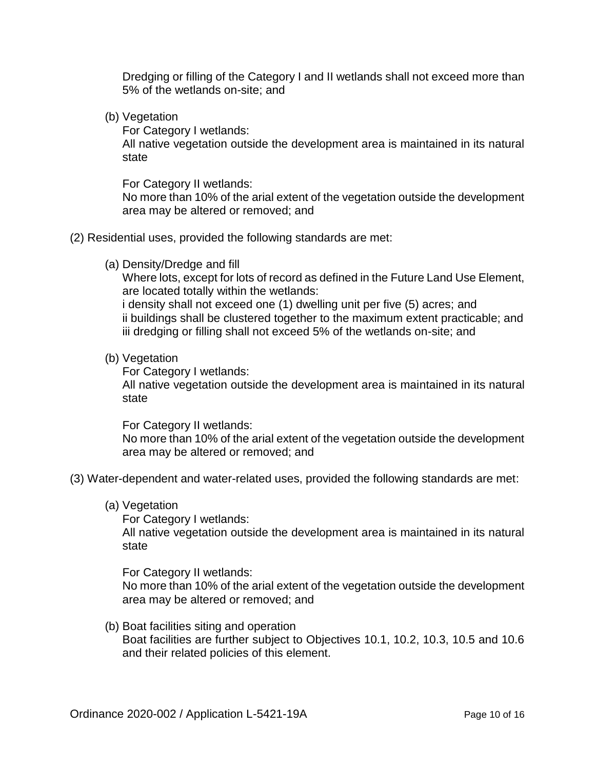Dredging or filling of the Category I and II wetlands shall not exceed more than 5% of the wetlands on-site; and

(b) Vegetation

For Category I wetlands:

All native vegetation outside the development area is maintained in its natural state

For Category II wetlands:

No more than 10% of the arial extent of the vegetation outside the development area may be altered or removed; and

#### (2) Residential uses, provided the following standards are met:

(a) Density/Dredge and fill

Where lots, except for lots of record as defined in the Future Land Use Element, are located totally within the wetlands:

i density shall not exceed one (1) dwelling unit per five (5) acres; and ii buildings shall be clustered together to the maximum extent practicable; and iii dredging or filling shall not exceed 5% of the wetlands on-site; and

#### (b) Vegetation

For Category I wetlands: All native vegetation outside the development area is maintained in its natural state

For Category II wetlands: No more than 10% of the arial extent of the vegetation outside the development area may be altered or removed; and

- (3) Water-dependent and water-related uses, provided the following standards are met:
	- (a) Vegetation

For Category I wetlands:

All native vegetation outside the development area is maintained in its natural state

For Category II wetlands:

No more than 10% of the arial extent of the vegetation outside the development area may be altered or removed; and

(b) Boat facilities siting and operation Boat facilities are further subject to Objectives 10.1, 10.2, 10.3, 10.5 and 10.6 and their related policies of this element.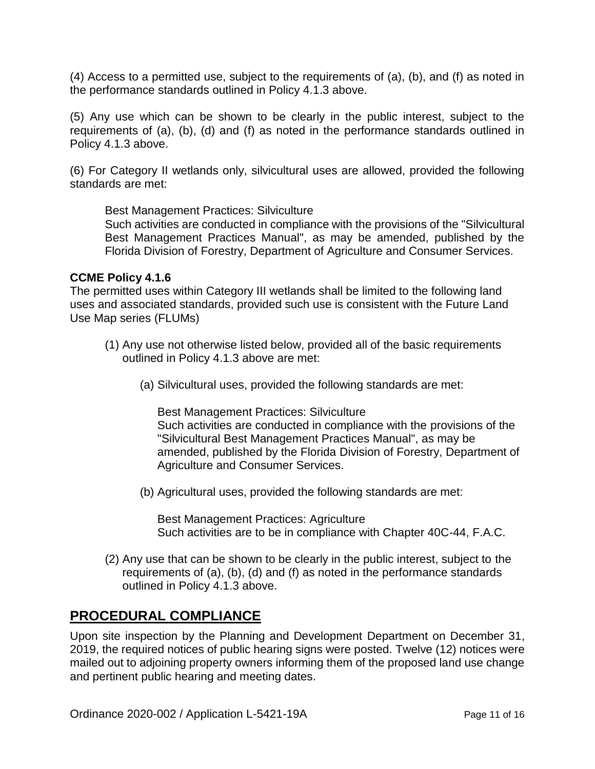(4) Access to a permitted use, subject to the requirements of (a), (b), and (f) as noted in the performance standards outlined in Policy 4.1.3 above.

(5) Any use which can be shown to be clearly in the public interest, subject to the requirements of (a), (b), (d) and (f) as noted in the performance standards outlined in Policy 4.1.3 above.

(6) For Category II wetlands only, silvicultural uses are allowed, provided the following standards are met:

Best Management Practices: Silviculture

Such activities are conducted in compliance with the provisions of the "Silvicultural Best Management Practices Manual", as may be amended, published by the Florida Division of Forestry, Department of Agriculture and Consumer Services.

#### **CCME Policy 4.1.6**

The permitted uses within Category III wetlands shall be limited to the following land uses and associated standards, provided such use is consistent with the Future Land Use Map series (FLUMs)

- (1) Any use not otherwise listed below, provided all of the basic requirements outlined in Policy 4.1.3 above are met:
	- (a) Silvicultural uses, provided the following standards are met:

Best Management Practices: Silviculture Such activities are conducted in compliance with the provisions of the "Silvicultural Best Management Practices Manual", as may be amended, published by the Florida Division of Forestry, Department of Agriculture and Consumer Services.

(b) Agricultural uses, provided the following standards are met:

Best Management Practices: Agriculture Such activities are to be in compliance with Chapter 40C-44, F.A.C.

(2) Any use that can be shown to be clearly in the public interest, subject to the requirements of (a), (b), (d) and (f) as noted in the performance standards outlined in Policy 4.1.3 above.

### **PROCEDURAL COMPLIANCE**

Upon site inspection by the Planning and Development Department on December 31, 2019, the required notices of public hearing signs were posted. Twelve (12) notices were mailed out to adjoining property owners informing them of the proposed land use change and pertinent public hearing and meeting dates.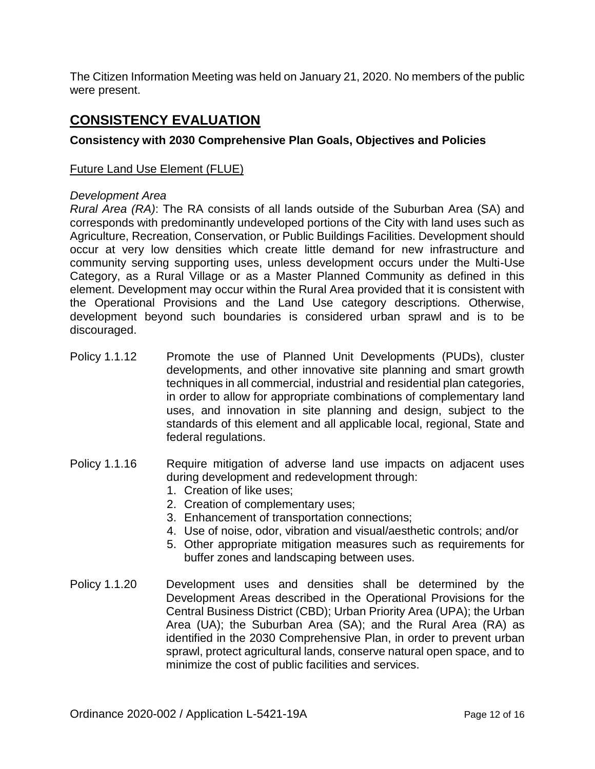The Citizen Information Meeting was held on January 21, 2020. No members of the public were present.

### **CONSISTENCY EVALUATION**

#### **Consistency with 2030 Comprehensive Plan Goals, Objectives and Policies**

#### Future Land Use Element (FLUE)

#### *Development Area*

*Rural Area (RA)*: The RA consists of all lands outside of the Suburban Area (SA) and corresponds with predominantly undeveloped portions of the City with land uses such as Agriculture, Recreation, Conservation, or Public Buildings Facilities. Development should occur at very low densities which create little demand for new infrastructure and community serving supporting uses, unless development occurs under the Multi-Use Category, as a Rural Village or as a Master Planned Community as defined in this element. Development may occur within the Rural Area provided that it is consistent with the Operational Provisions and the Land Use category descriptions. Otherwise, development beyond such boundaries is considered urban sprawl and is to be discouraged.

- Policy 1.1.12 Promote the use of Planned Unit Developments (PUDs), cluster developments, and other innovative site planning and smart growth techniques in all commercial, industrial and residential plan categories, in order to allow for appropriate combinations of complementary land uses, and innovation in site planning and design, subject to the standards of this element and all applicable local, regional, State and federal regulations.
- Policy 1.1.16 Require mitigation of adverse land use impacts on adjacent uses during development and redevelopment through:
	- 1. Creation of like uses;
	- 2. Creation of complementary uses;
	- 3. Enhancement of transportation connections;
	- 4. Use of noise, odor, vibration and visual/aesthetic controls; and/or
	- 5. Other appropriate mitigation measures such as requirements for buffer zones and landscaping between uses.
- Policy 1.1.20 Development uses and densities shall be determined by the Development Areas described in the Operational Provisions for the Central Business District (CBD); Urban Priority Area (UPA); the Urban Area (UA); the Suburban Area (SA); and the Rural Area (RA) as identified in the 2030 Comprehensive Plan, in order to prevent urban sprawl, protect agricultural lands, conserve natural open space, and to minimize the cost of public facilities and services.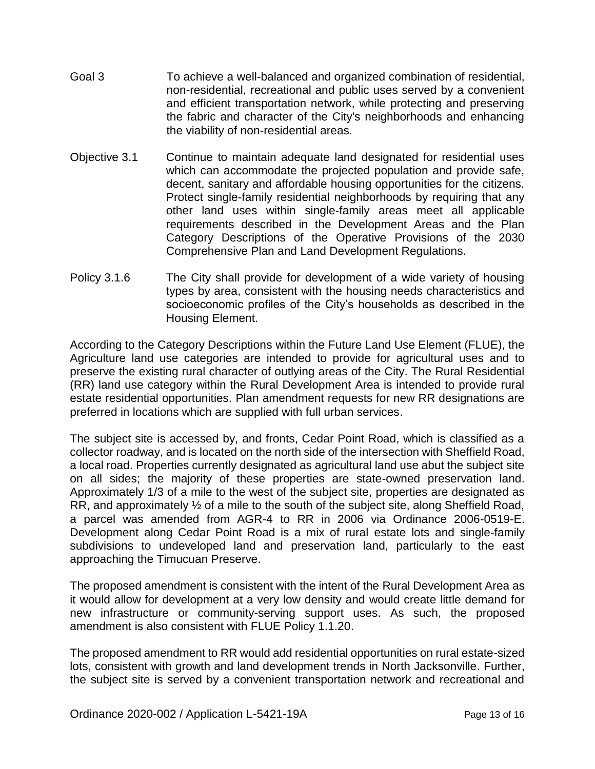- Goal 3 To achieve a well-balanced and organized combination of residential, non-residential, recreational and public uses served by a convenient and efficient transportation network, while protecting and preserving the fabric and character of the City's neighborhoods and enhancing the viability of non-residential areas.
- Objective 3.1 Continue to maintain adequate land designated for residential uses which can accommodate the projected population and provide safe, decent, sanitary and affordable housing opportunities for the citizens. Protect single-family residential neighborhoods by requiring that any other land uses within single-family areas meet all applicable requirements described in the Development Areas and the Plan Category Descriptions of the Operative Provisions of the 2030 Comprehensive Plan and Land Development Regulations.
- Policy 3.1.6 The City shall provide for development of a wide variety of housing types by area, consistent with the housing needs characteristics and socioeconomic profiles of the City's households as described in the Housing Element.

According to the Category Descriptions within the Future Land Use Element (FLUE), the Agriculture land use categories are intended to provide for agricultural uses and to preserve the existing rural character of outlying areas of the City. The Rural Residential (RR) land use category within the Rural Development Area is intended to provide rural estate residential opportunities. Plan amendment requests for new RR designations are preferred in locations which are supplied with full urban services.

The subject site is accessed by, and fronts, Cedar Point Road, which is classified as a collector roadway, and is located on the north side of the intersection with Sheffield Road, a local road. Properties currently designated as agricultural land use abut the subject site on all sides; the majority of these properties are state-owned preservation land. Approximately 1/3 of a mile to the west of the subject site, properties are designated as RR, and approximately ½ of a mile to the south of the subject site, along Sheffield Road, a parcel was amended from AGR-4 to RR in 2006 via Ordinance 2006-0519-E. Development along Cedar Point Road is a mix of rural estate lots and single-family subdivisions to undeveloped land and preservation land, particularly to the east approaching the Timucuan Preserve.

The proposed amendment is consistent with the intent of the Rural Development Area as it would allow for development at a very low density and would create little demand for new infrastructure or community-serving support uses. As such, the proposed amendment is also consistent with FLUE Policy 1.1.20.

The proposed amendment to RR would add residential opportunities on rural estate-sized lots, consistent with growth and land development trends in North Jacksonville. Further, the subject site is served by a convenient transportation network and recreational and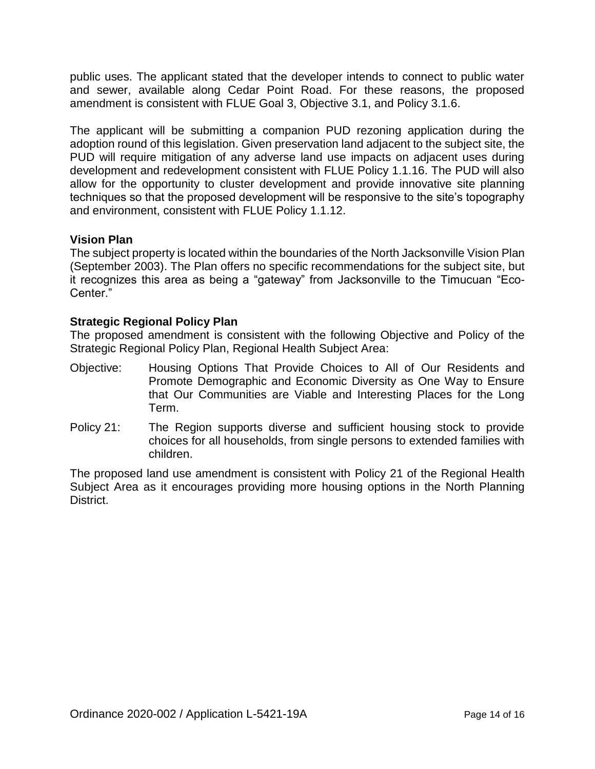public uses. The applicant stated that the developer intends to connect to public water and sewer, available along Cedar Point Road. For these reasons, the proposed amendment is consistent with FLUE Goal 3, Objective 3.1, and Policy 3.1.6.

The applicant will be submitting a companion PUD rezoning application during the adoption round of this legislation. Given preservation land adjacent to the subject site, the PUD will require mitigation of any adverse land use impacts on adjacent uses during development and redevelopment consistent with FLUE Policy 1.1.16. The PUD will also allow for the opportunity to cluster development and provide innovative site planning techniques so that the proposed development will be responsive to the site's topography and environment, consistent with FLUE Policy 1.1.12.

#### **Vision Plan**

The subject property is located within the boundaries of the North Jacksonville Vision Plan (September 2003). The Plan offers no specific recommendations for the subject site, but it recognizes this area as being a "gateway" from Jacksonville to the Timucuan "Eco-Center."

#### **Strategic Regional Policy Plan**

The proposed amendment is consistent with the following Objective and Policy of the Strategic Regional Policy Plan, Regional Health Subject Area:

- Objective: Housing Options That Provide Choices to All of Our Residents and Promote Demographic and Economic Diversity as One Way to Ensure that Our Communities are Viable and Interesting Places for the Long Term.
- Policy 21: The Region supports diverse and sufficient housing stock to provide choices for all households, from single persons to extended families with children.

The proposed land use amendment is consistent with Policy 21 of the Regional Health Subject Area as it encourages providing more housing options in the North Planning District.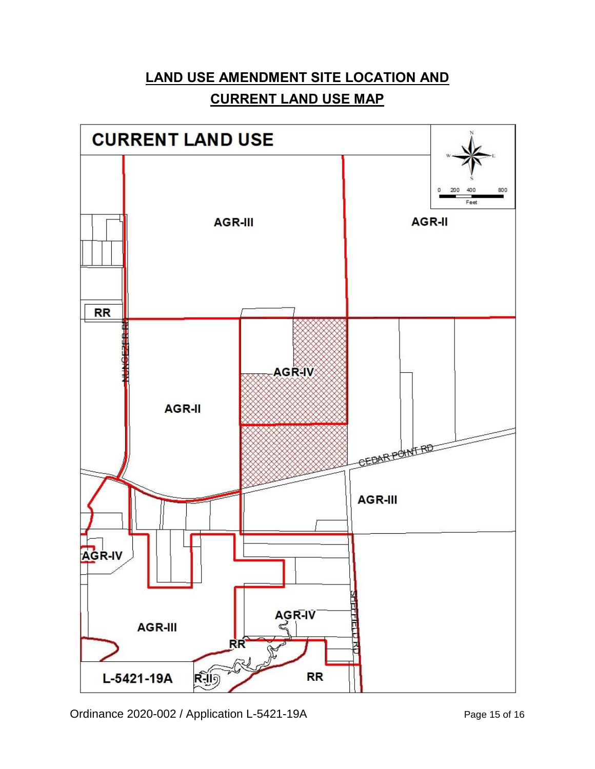## **LAND USE AMENDMENT SITE LOCATION AND CURRENT LAND USE MAP**